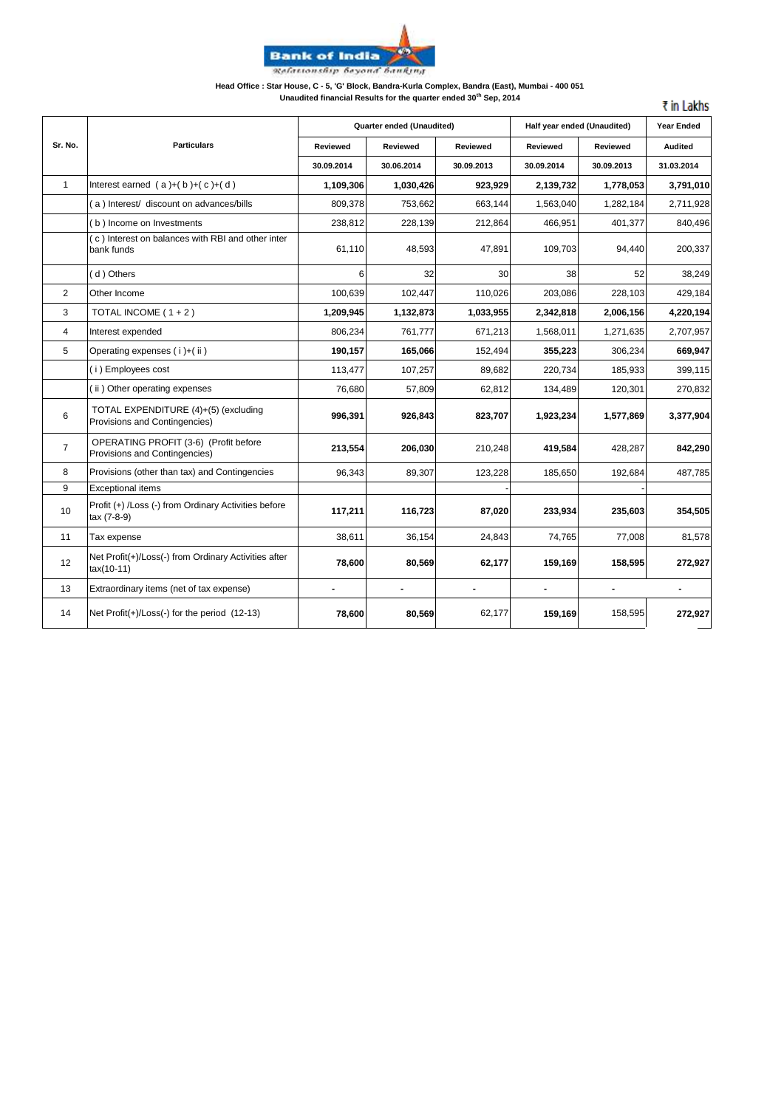

### **Head Office : Star House, C - 5, 'G' Block, Bandra-Kurla Complex, Bandra (East), Mumbai - 400 051**

**Unaudited financial Results for the quarter ended 30th Sep, 2014**

₹ in Lakhs

|                |                                                                        | Quarter ended (Unaudited) |                 |                 | Half year ended (Unaudited) | <b>Year Ended</b>        |                          |
|----------------|------------------------------------------------------------------------|---------------------------|-----------------|-----------------|-----------------------------|--------------------------|--------------------------|
| Sr. No.        | <b>Particulars</b>                                                     | Reviewed                  | <b>Reviewed</b> | <b>Reviewed</b> | Reviewed                    | Reviewed                 | <b>Audited</b>           |
|                |                                                                        | 30.09.2014                | 30.06.2014      | 30.09.2013      | 30.09.2014                  | 30.09.2013               | 31.03.2014               |
| $\mathbf{1}$   | Interest earned $(a)+(b)+(c)+(d)$                                      | 1,109,306                 | 1,030,426       | 923,929         | 2,139,732                   | 1,778,053                | 3,791,010                |
|                | (a) Interest/ discount on advances/bills                               | 809,378                   | 753,662         | 663,144         | 1,563,040                   | 1,282,184                | 2,711,928                |
|                | (b) Income on Investments                                              | 238,812                   | 228,139         | 212,864         | 466,951                     | 401,377                  | 840,496                  |
|                | (c) Interest on balances with RBI and other inter<br>bank funds        | 61,110                    | 48,593          | 47,891          | 109,703                     | 94,440                   | 200,337                  |
|                | (d) Others                                                             | 6                         | 32              | 30              | 38                          | 52                       | 38,249                   |
| 2              | Other Income                                                           | 100,639                   | 102,447         | 110,026         | 203,086                     | 228,103                  | 429,184                  |
| 3              | TOTAL INCOME $(1 + 2)$                                                 | 1,209,945                 | 1,132,873       | 1,033,955       | 2,342,818                   | 2,006,156                | 4,220,194                |
| $\overline{4}$ | Interest expended                                                      | 806,234                   | 761,777         | 671,213         | 1,568,011                   | 1,271,635                | 2,707,957                |
| 5              | Operating expenses (i)+(ii)                                            | 190,157                   | 165,066         | 152,494         | 355,223                     | 306,234                  | 669,947                  |
|                | (i) Employees cost                                                     | 113,477                   | 107,257         | 89,682          | 220,734                     | 185,933                  | 399,115                  |
|                | (ii) Other operating expenses                                          | 76,680                    | 57,809          | 62,812          | 134,489                     | 120,301                  | 270,832                  |
| 6              | TOTAL EXPENDITURE (4)+(5) (excluding<br>Provisions and Contingencies)  | 996,391                   | 926,843         | 823,707         | 1,923,234                   | 1,577,869                | 3,377,904                |
| $\overline{7}$ | OPERATING PROFIT (3-6) (Profit before<br>Provisions and Contingencies) | 213,554                   | 206,030         | 210,248         | 419,584                     | 428,287                  | 842,290                  |
| 8              | Provisions (other than tax) and Contingencies                          | 96,343                    | 89,307          | 123,228         | 185,650                     | 192,684                  | 487,785                  |
| 9              | <b>Exceptional items</b>                                               |                           |                 |                 |                             |                          |                          |
| 10             | Profit (+) /Loss (-) from Ordinary Activities before<br>tax (7-8-9)    | 117,211                   | 116,723         | 87,020          | 233,934                     | 235,603                  | 354,505                  |
| 11             | Tax expense                                                            | 38,611                    | 36,154          | 24,843          | 74,765                      | 77,008                   | 81,578                   |
| 12             | Net Profit(+)/Loss(-) from Ordinary Activities after<br>$tax(10-11)$   | 78,600                    | 80,569          | 62,177          | 159,169                     | 158,595                  | 272,927                  |
| 13             | Extraordinary items (net of tax expense)                               | $\blacksquare$            | ٠               | $\blacksquare$  | $\blacksquare$              | $\overline{\phantom{0}}$ | $\overline{\phantom{a}}$ |
| 14             | Net Profit(+)/Loss(-) for the period (12-13)                           | 78,600                    | 80,569          | 62,177          | 159,169                     | 158,595                  | 272,927                  |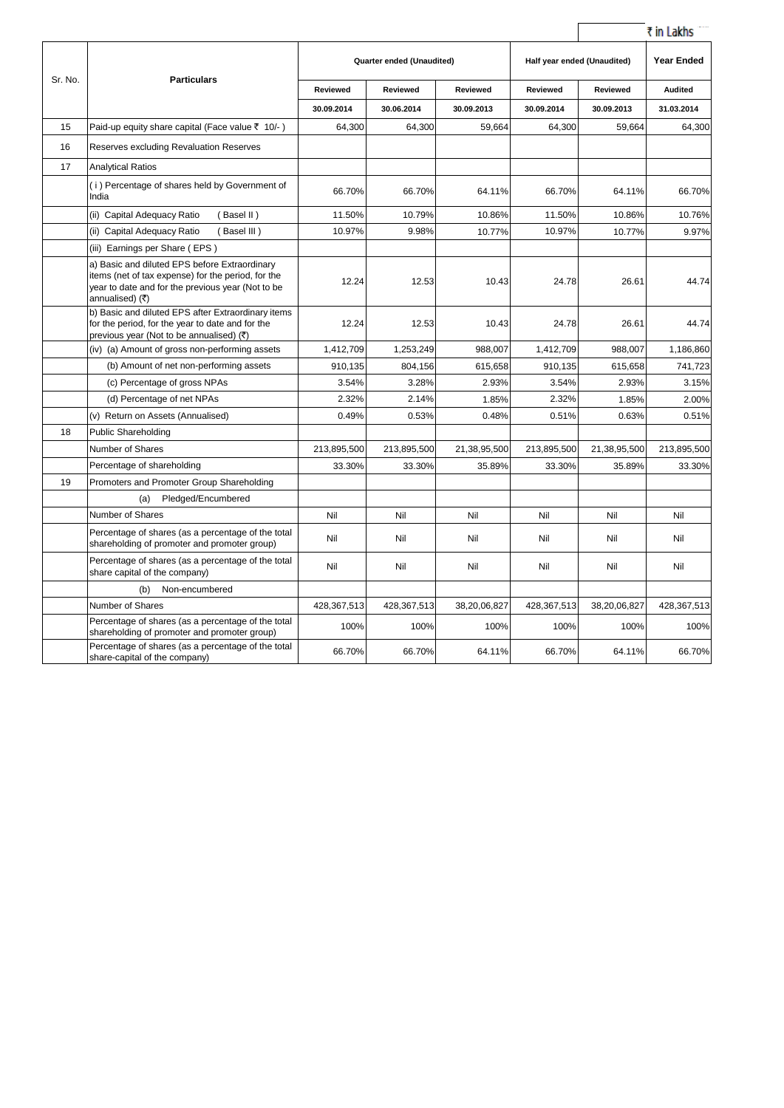|         |                                                                                                                                                                             |             |                           |                 |                 |                             | ₹ in Lakhs     |
|---------|-----------------------------------------------------------------------------------------------------------------------------------------------------------------------------|-------------|---------------------------|-----------------|-----------------|-----------------------------|----------------|
|         |                                                                                                                                                                             |             | Quarter ended (Unaudited) |                 |                 | Half year ended (Unaudited) |                |
| Sr. No. | <b>Particulars</b>                                                                                                                                                          | Reviewed    | Reviewed                  | <b>Reviewed</b> | <b>Reviewed</b> | <b>Reviewed</b>             | <b>Audited</b> |
|         |                                                                                                                                                                             | 30.09.2014  | 30.06.2014                | 30.09.2013      | 30.09.2014      | 30.09.2013                  | 31.03.2014     |
| 15      | Paid-up equity share capital (Face value ₹ 10/-)                                                                                                                            | 64,300      | 64,300                    | 59,664          | 64,300          | 59,664                      | 64,300         |
| 16      | Reserves excluding Revaluation Reserves                                                                                                                                     |             |                           |                 |                 |                             |                |
| 17      | <b>Analytical Ratios</b>                                                                                                                                                    |             |                           |                 |                 |                             |                |
|         | (i) Percentage of shares held by Government of<br>India                                                                                                                     | 66.70%      | 66.70%                    | 64.11%          | 66.70%          | 64.11%                      | 66.70%         |
|         | (ii) Capital Adequacy Ratio<br>(Basel II)                                                                                                                                   | 11.50%      | 10.79%                    | 10.86%          | 11.50%          | 10.86%                      | 10.76%         |
|         | (ii) Capital Adequacy Ratio<br>(Basel III)                                                                                                                                  | 10.97%      | 9.98%                     | 10.77%          | 10.97%          | 10.77%                      | 9.97%          |
|         | (iii) Earnings per Share (EPS)                                                                                                                                              |             |                           |                 |                 |                             |                |
|         | a) Basic and diluted EPS before Extraordinary<br>items (net of tax expense) for the period, for the<br>year to date and for the previous year (Not to be<br>annualised) (₹) | 12.24       | 12.53                     | 10.43           | 24.78           | 26.61                       | 44.74          |
|         | b) Basic and diluted EPS after Extraordinary items<br>for the period, for the year to date and for the<br>previous year (Not to be annualised) (₹)                          | 12.24       | 12.53                     | 10.43           | 24.78           | 26.61                       | 44.74          |
|         | (iv) (a) Amount of gross non-performing assets                                                                                                                              | 1,412,709   | 1,253,249                 | 988,007         | 1,412,709       | 988,007                     | 1,186,860      |
|         | (b) Amount of net non-performing assets                                                                                                                                     | 910,135     | 804,156                   | 615,658         | 910,135         | 615,658                     | 741,723        |
|         | (c) Percentage of gross NPAs                                                                                                                                                | 3.54%       | 3.28%                     | 2.93%           | 3.54%           | 2.93%                       | 3.15%          |
|         | (d) Percentage of net NPAs                                                                                                                                                  | 2.32%       | 2.14%                     | 1.85%           | 2.32%           | 1.85%                       | 2.00%          |
|         | (v) Return on Assets (Annualised)                                                                                                                                           | 0.49%       | 0.53%                     | 0.48%           | 0.51%           | 0.63%                       | 0.51%          |
| 18      | <b>Public Shareholding</b>                                                                                                                                                  |             |                           |                 |                 |                             |                |
|         | Number of Shares                                                                                                                                                            | 213,895,500 | 213,895,500               | 21,38,95,500    | 213,895,500     | 21,38,95,500                | 213,895,500    |
|         | Percentage of shareholding                                                                                                                                                  | 33.30%      | 33.30%                    | 35.89%          | 33.30%          | 35.89%                      | 33.30%         |
| 19      | Promoters and Promoter Group Shareholding                                                                                                                                   |             |                           |                 |                 |                             |                |
|         | Pledged/Encumbered<br>(a)                                                                                                                                                   |             |                           |                 |                 |                             |                |
|         | <b>Number of Shares</b>                                                                                                                                                     | Nil         | Nil                       | Nil             | Nil             | Nil                         | Nil            |
|         | Percentage of shares (as a percentage of the total<br>shareholding of promoter and promoter group)                                                                          | Nil         | Nil                       | Nil             | Nil             | Nil                         | Nil            |
|         | Percentage of shares (as a percentage of the total<br>share capital of the company)                                                                                         | Nil         | Nil                       | Nil             | Nil             | Nil                         | Nil            |
|         | (b)<br>Non-encumbered                                                                                                                                                       |             |                           |                 |                 |                             |                |
|         | Number of Shares                                                                                                                                                            | 428,367,513 | 428,367,513               | 38,20,06,827    | 428,367,513     | 38,20,06,827                | 428,367,513    |
|         | Percentage of shares (as a percentage of the total<br>shareholding of promoter and promoter group)                                                                          | 100%        | 100%                      | 100%            | 100%            | 100%                        | 100%           |
|         | Percentage of shares (as a percentage of the total<br>share-capital of the company)                                                                                         | 66.70%      | 66.70%                    | 64.11%          | 66.70%          | 64.11%                      | 66.70%         |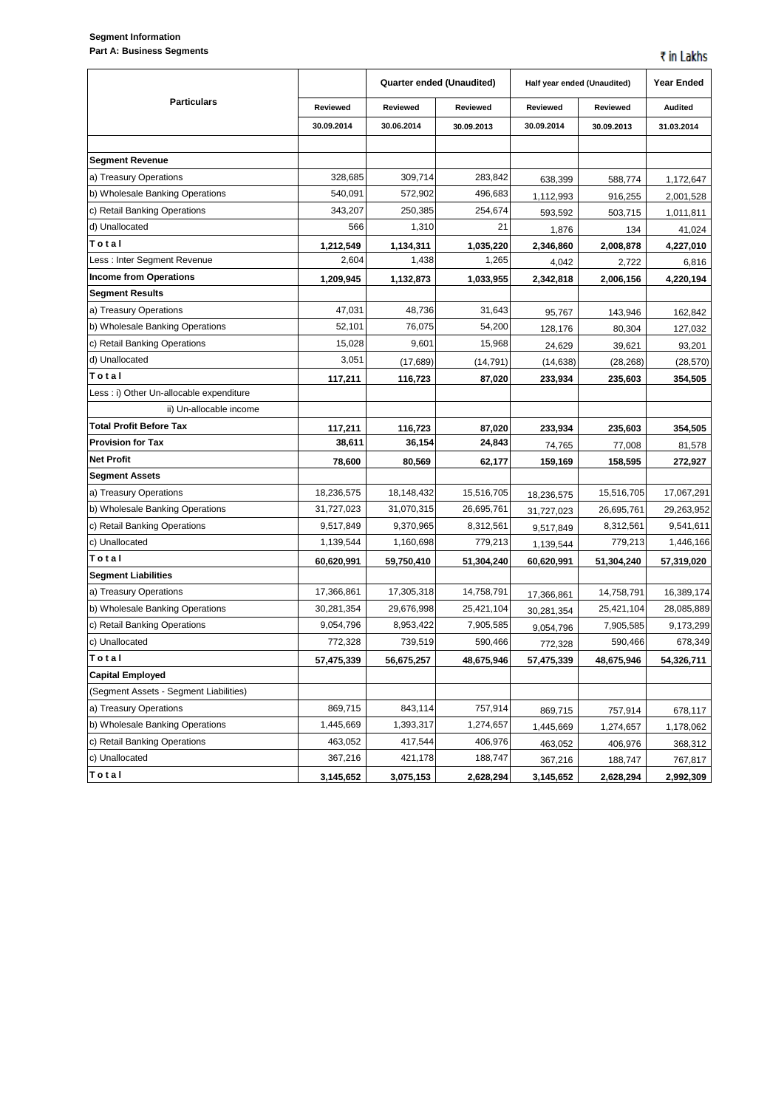## **Segment Information Part A: Business Segments**

|                                          |            | Quarter ended (Unaudited) |            | Half year ended (Unaudited) |            | <b>Year Ended</b> |  |
|------------------------------------------|------------|---------------------------|------------|-----------------------------|------------|-------------------|--|
| <b>Particulars</b>                       | Reviewed   | Reviewed                  | Reviewed   | Reviewed                    | Reviewed   | <b>Audited</b>    |  |
|                                          | 30.09.2014 | 30.06.2014                | 30.09.2013 | 30.09.2014                  | 30.09.2013 | 31.03.2014        |  |
|                                          |            |                           |            |                             |            |                   |  |
| <b>Segment Revenue</b>                   |            |                           |            |                             |            |                   |  |
| a) Treasury Operations                   | 328,685    | 309,714                   | 283,842    | 638,399                     | 588,774    | 1,172,647         |  |
| b) Wholesale Banking Operations          | 540,091    | 572,902                   | 496,683    | 1,112,993                   | 916,255    | 2,001,528         |  |
| c) Retail Banking Operations             | 343,207    | 250,385                   | 254,674    | 593,592                     | 503,715    | 1,011,811         |  |
| d) Unallocated                           | 566        | 1,310                     | 21         | 1,876                       | 134        | 41,024            |  |
| Total                                    | 1,212,549  | 1,134,311                 | 1,035,220  | 2,346,860                   | 2,008,878  | 4,227,010         |  |
| Less : Inter Segment Revenue             | 2,604      | 1,438                     | 1,265      | 4,042                       | 2,722      | 6,816             |  |
| <b>Income from Operations</b>            | 1,209,945  | 1,132,873                 | 1,033,955  | 2,342,818                   | 2,006,156  | 4,220,194         |  |
| <b>Segment Results</b>                   |            |                           |            |                             |            |                   |  |
| a) Treasury Operations                   | 47,031     | 48,736                    | 31,643     | 95,767                      | 143,946    | 162,842           |  |
| b) Wholesale Banking Operations          | 52,101     | 76,075                    | 54,200     | 128,176                     | 80,304     | 127,032           |  |
| c) Retail Banking Operations             | 15,028     | 9,601                     | 15,968     | 24,629                      | 39,621     | 93,201            |  |
| d) Unallocated                           | 3,051      | (17, 689)                 | (14,791)   | (14, 638)                   | (28, 268)  | (28, 570)         |  |
| Total                                    | 117,211    | 116,723                   | 87,020     | 233,934                     | 235,603    | 354,505           |  |
| Less : i) Other Un-allocable expenditure |            |                           |            |                             |            |                   |  |
| ii) Un-allocable income                  |            |                           |            |                             |            |                   |  |
| <b>Total Profit Before Tax</b>           | 117,211    | 116,723                   | 87,020     | 233,934                     | 235,603    | 354,505           |  |
| <b>Provision for Tax</b>                 | 38,611     | 36,154                    | 24,843     | 74,765                      | 77,008     | 81,578            |  |
| Net Profit                               | 78,600     | 80,569                    | 62,177     | 159,169                     | 158,595    | 272,927           |  |
| Segment Assets                           |            |                           |            |                             |            |                   |  |
| a) Treasury Operations                   | 18,236,575 | 18,148,432                | 15,516,705 | 18,236,575                  | 15,516,705 | 17,067,291        |  |
| b) Wholesale Banking Operations          | 31,727,023 | 31,070,315                | 26,695,761 | 31,727,023                  | 26,695,761 | 29,263,952        |  |
| c) Retail Banking Operations             | 9,517,849  | 9,370,965                 | 8,312,561  | 9,517,849                   | 8,312,561  | 9,541,611         |  |
| c) Unallocated                           | 1,139,544  | 1,160,698                 | 779,213    | 1,139,544                   | 779,213    | 1,446,166         |  |
| Total                                    | 60,620,991 | 59,750,410                | 51,304,240 | 60,620,991                  | 51,304,240 | 57,319,020        |  |
| <b>Segment Liabilities</b>               |            |                           |            |                             |            |                   |  |
| a) Treasury Operations                   | 17,366,861 | 17,305,318                | 14,758,791 | 17,366,861                  | 14,758,791 | 16,389,174        |  |
| b) Wholesale Banking Operations          | 30,281,354 | 29,676,998                | 25,421,104 | 30,281,354                  | 25,421,104 | 28,085,889        |  |
| c) Retail Banking Operations             | 9,054,796  | 8,953,422                 | 7,905,585  | 9,054,796                   | 7,905,585  | 9,173,299         |  |
| c) Unallocated                           | 772,328    | 739,519                   | 590,466    | 772,328                     | 590,466    | 678,349           |  |
| Total                                    | 57,475,339 | 56,675,257                | 48,675,946 | 57,475,339                  | 48,675,946 | 54,326,711        |  |
| <b>Capital Employed</b>                  |            |                           |            |                             |            |                   |  |
| (Segment Assets - Segment Liabilities)   |            |                           |            |                             |            |                   |  |
| a) Treasury Operations                   | 869,715    | 843,114                   | 757,914    | 869,715                     | 757,914    | 678,117           |  |
| b) Wholesale Banking Operations          | 1,445,669  | 1,393,317                 | 1,274,657  | 1,445,669                   | 1,274,657  | 1,178,062         |  |
| c) Retail Banking Operations             | 463,052    | 417,544                   | 406,976    | 463,052                     | 406,976    | 368,312           |  |
| c) Unallocated                           | 367,216    | 421,178                   | 188,747    | 367,216                     | 188,747    | 767,817           |  |
| Total                                    | 3,145,652  | 3,075,153                 | 2,628,294  | 3,145,652                   | 2,628,294  | 2,992,309         |  |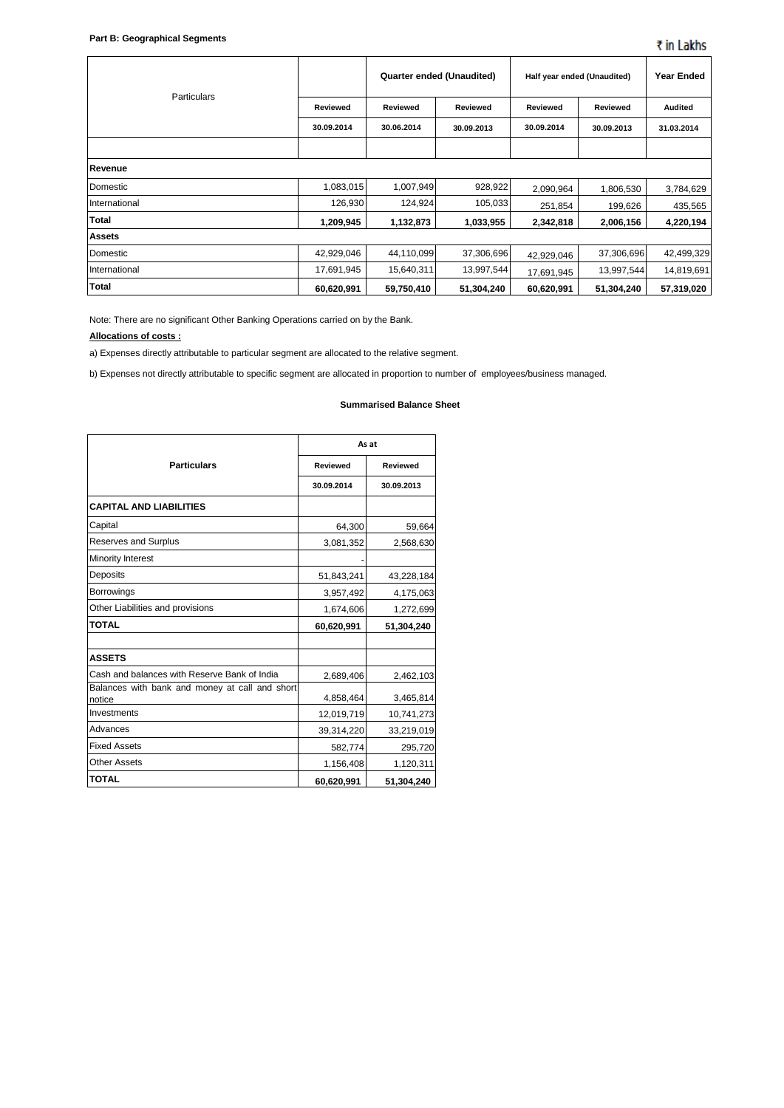| <b>Particulars</b> |                 | Quarter ended (Unaudited) |            | Half year ended (Unaudited) |            | <b>Year Ended</b> |
|--------------------|-----------------|---------------------------|------------|-----------------------------|------------|-------------------|
|                    | <b>Reviewed</b> | Reviewed                  | Reviewed   | Reviewed                    | Reviewed   | <b>Audited</b>    |
|                    | 30.09.2014      | 30.06.2014                | 30.09.2013 | 30.09.2014                  | 30.09.2013 | 31.03.2014        |
|                    |                 |                           |            |                             |            |                   |
| Revenue            |                 |                           |            |                             |            |                   |
| Domestic           | 1,083,015       | 1,007,949                 | 928,922    | 2,090,964                   | 1,806,530  | 3,784,629         |
| International      | 126,930         | 124,924                   | 105,033    | 251,854                     | 199,626    | 435,565           |
| <b>Total</b>       | 1,209,945       | 1,132,873                 | 1,033,955  | 2,342,818                   | 2,006,156  | 4,220,194         |
| <b>Assets</b>      |                 |                           |            |                             |            |                   |
| Domestic           | 42,929,046      | 44,110,099                | 37,306,696 | 42,929,046                  | 37,306,696 | 42,499,329        |
| International      | 17,691,945      | 15,640,311                | 13,997,544 | 17,691,945                  | 13,997,544 | 14,819,691        |
| <b>Total</b>       | 60,620,991      | 59,750,410                | 51,304,240 | 60,620,991                  | 51,304,240 | 57,319,020        |

Note: There are no significant Other Banking Operations carried on by the Bank.

#### **Allocations of costs :**

a) Expenses directly attributable to particular segment are allocated to the relative segment.

b) Expenses not directly attributable to specific segment are allocated in proportion to number of employees/business managed.

#### **Summarised Balance Sheet**

|                                                          | As at      |            |  |  |
|----------------------------------------------------------|------------|------------|--|--|
| <b>Particulars</b>                                       | Reviewed   | Reviewed   |  |  |
|                                                          | 30.09.2014 | 30.09.2013 |  |  |
| <b>CAPITAL AND LIABILITIES</b>                           |            |            |  |  |
| Capital                                                  | 64,300     | 59,664     |  |  |
| Reserves and Surplus                                     | 3,081,352  | 2,568,630  |  |  |
| Minority Interest                                        |            |            |  |  |
| <b>Deposits</b>                                          | 51,843,241 | 43,228,184 |  |  |
| <b>Borrowings</b>                                        | 3,957,492  | 4,175,063  |  |  |
| Other Liabilities and provisions                         | 1,674,606  | 1,272,699  |  |  |
| <b>TOTAL</b>                                             | 60,620,991 | 51,304,240 |  |  |
|                                                          |            |            |  |  |
| <b>ASSETS</b>                                            |            |            |  |  |
| Cash and balances with Reserve Bank of India             | 2,689,406  | 2,462,103  |  |  |
| Balances with bank and money at call and short<br>notice | 4,858,464  | 3,465,814  |  |  |
| Investments                                              | 12,019,719 | 10,741,273 |  |  |
| Advances                                                 | 39,314,220 | 33,219,019 |  |  |
| <b>Fixed Assets</b>                                      | 582,774    | 295,720    |  |  |
| <b>Other Assets</b>                                      | 1,156,408  | 1,120,311  |  |  |
| <b>TOTAL</b>                                             | 60,620,991 | 51,304,240 |  |  |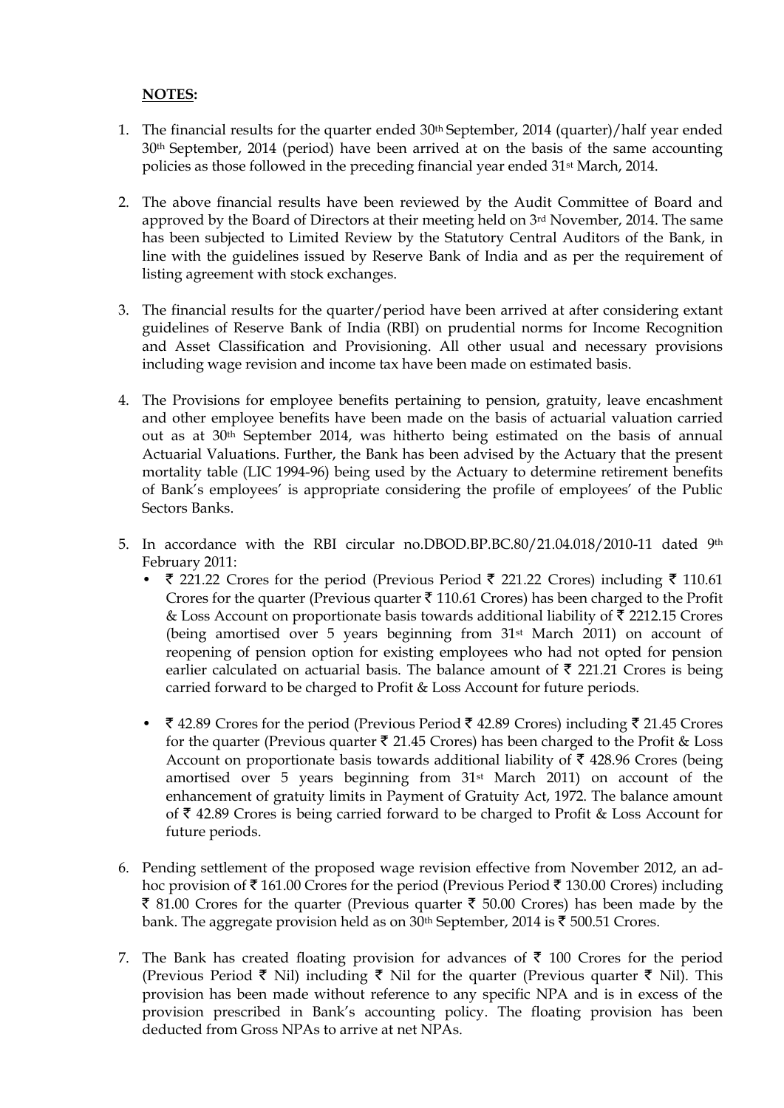# **NOTES:**

- 1. The financial results for the quarter ended 30th September, 2014 (quarter)/half year ended 30th September, 2014 (period) have been arrived at on the basis of the same accounting policies as those followed in the preceding financial year ended 31st March, 2014.
- 2. The above financial results have been reviewed by the Audit Committee of Board and approved by the Board of Directors at their meeting held on 3rd November, 2014. The same has been subjected to Limited Review by the Statutory Central Auditors of the Bank, in line with the guidelines issued by Reserve Bank of India and as per the requirement of listing agreement with stock exchanges.
- 3. The financial results for the quarter/period have been arrived at after considering extant guidelines of Reserve Bank of India (RBI) on prudential norms for Income Recognition and Asset Classification and Provisioning. All other usual and necessary provisions including wage revision and income tax have been made on estimated basis.
- 4. The Provisions for employee benefits pertaining to pension, gratuity, leave encashment and other employee benefits have been made on the basis of actuarial valuation carried out as at 30th September 2014, was hitherto being estimated on the basis of annual Actuarial Valuations. Further, the Bank has been advised by the Actuary that the present mortality table (LIC 1994-96) being used by the Actuary to determine retirement benefits of Bank's employees' is appropriate considering the profile of employees' of the Public Sectors Banks.
- 5. In accordance with the RBI circular no.DBOD.BP.BC.80/21.04.018/2010-11 dated 9th February 2011:
	- $\bar{\tau}$  221.22 Crores for the period (Previous Period  $\bar{\tau}$  221.22 Crores) including  $\bar{\tau}$  110.61 Crores for the quarter (Previous quarter  $\bar{\tau}$  110.61 Crores) has been charged to the Profit & Loss Account on proportionate basis towards additional liability of  $\bar{\tau}$  2212.15 Crores (being amortised over 5 years beginning from 31st March 2011) on account of reopening of pension option for existing employees who had not opted for pension earlier calculated on actuarial basis. The balance amount of  $\bar{\tau}$  221.21 Crores is being carried forward to be charged to Profit & Loss Account for future periods.
	- $\bar{\tau}$  42.89 Crores for the period (Previous Period  $\bar{\tau}$  42.89 Crores) including  $\bar{\tau}$  21.45 Crores for the quarter (Previous quarter  $\bar{\tau}$  21.45 Crores) has been charged to the Profit & Loss Account on proportionate basis towards additional liability of  $\bar{\tau}$  428.96 Crores (being amortised over 5 years beginning from 31st March 2011) on account of the enhancement of gratuity limits in Payment of Gratuity Act, 1972. The balance amount of  $\bar{\tau}$  42.89 Crores is being carried forward to be charged to Profit & Loss Account for future periods.
- 6. Pending settlement of the proposed wage revision effective from November 2012, an adhoc provision of  $\bar{\tau}$  161.00 Crores for the period (Previous Period  $\bar{\tau}$  130.00 Crores) including  $\bar{\xi}$  81.00 Crores for the quarter (Previous quarter  $\bar{\xi}$  50.00 Crores) has been made by the bank. The aggregate provision held as on 30<sup>th</sup> September, 2014 is  $\bar{\tau}$  500.51 Crores.
- 7. The Bank has created floating provision for advances of  $\bar{\tau}$  100 Crores for the period (Previous Period  $\bar{\tau}$  Nil) including  $\bar{\tau}$  Nil for the quarter (Previous quarter  $\bar{\tau}$  Nil). This provision has been made without reference to any specific NPA and is in excess of the provision prescribed in Bank's accounting policy. The floating provision has been deducted from Gross NPAs to arrive at net NPAs.